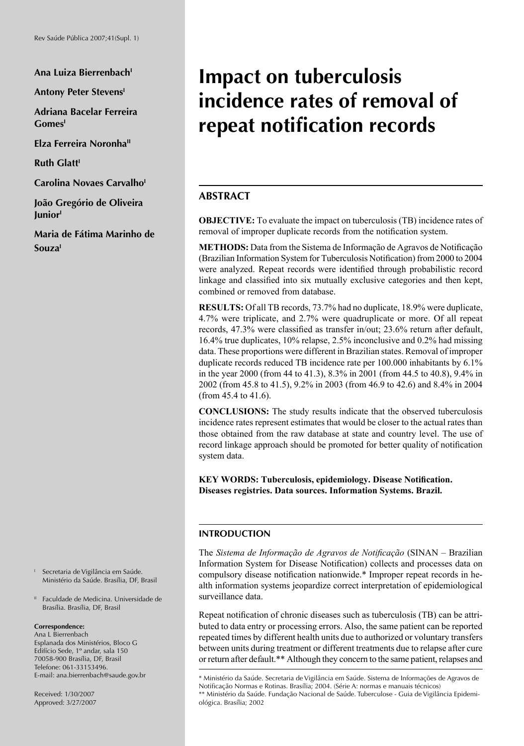Ana Luiza Bierrenbach<sup>t</sup>

**Antony Peter Stevens'** 

**Adriana Bacelar Ferreira GomesI**

**Elza Ferreira Noronha<sup>II</sup>** 

**Ruth Glatt<sup>1</sup>** 

**Carolina Novaes Carvalho**<sup>1</sup>

**João Gregório de Oliveira JuniorI**

**Maria de Fátima Marinho de SouzaI**

I Secretaria de Vigilância em Saúde. Ministério da Saúde. Brasília, DF, Brasil

II Faculdade de Medicina. Universidade de Brasília. Brasília, DF, Brasil

#### **Correspondence:**

Ana L Bierrenbach Esplanada dos Ministérios, Bloco G Edifício Sede, 1º andar, sala 150 70058-900 Brasília, DF, Brasil Telefone: 061-33153496. E-mail: ana.bierrenbach@saude.gov.br

Received: 1/30/2007 Approved: 3/27/2007

# **Impact on tuberculosis incidence rates of removal of**  repeat notification records

## **ABSTRACT**

**OBJECTIVE:** To evaluate the impact on tuberculosis (TB) incidence rates of removal of improper duplicate records from the notification system.

**METHODS:** Data from the Sistema de Informação de Agravos de Notificação (Brazilian Information System for Tuberculosis Notification) from 2000 to 2004 were analyzed. Repeat records were identified through probabilistic record linkage and classified into six mutually exclusive categories and then kept, combined or removed from database.

**RESULTS:** Of all TB records, 73.7% had no duplicate, 18.9% were duplicate, 4.7% were triplicate, and 2.7% were quadruplicate or more. Of all repeat records, 47.3% were classified as transfer in/out; 23.6% return after default, 16.4% true duplicates, 10% relapse, 2.5% inconclusive and 0.2% had missing data. These proportions were different in Brazilian states. Removal of improper duplicate records reduced TB incidence rate per 100.000 inhabitants by 6.1% in the year 2000 (from 44 to 41.3), 8.3% in 2001 (from 44.5 to 40.8), 9.4% in 2002 (from 45.8 to 41.5), 9.2% in 2003 (from 46.9 to 42.6) and 8.4% in 2004 (from 45.4 to 41.6).

**CONCLUSIONS:** The study results indicate that the observed tuberculosis incidence rates represent estimates that would be closer to the actual rates than those obtained from the raw database at state and country level. The use of record linkage approach should be promoted for better quality of notification system data.

**KEY WORDS: Tuberculosis, epidemiology. Disease Notification. Diseases registries. Data sources. Information Systems. Brazil.**

#### **INTRODUCTION**

The *Sistema de Informação de Agravos de Notificação* (SINAN – Brazilian Information System for Disease Notification) collects and processes data on compulsory disease notification nationwide.\* Improper repeat records in health information systems jeopardize correct interpretation of epidemiological surveillance data.

Repeat notification of chronic diseases such as tuberculosis (TB) can be attributed to data entry or processing errors. Also, the same patient can be reported repeated times by different health units due to authorized or voluntary transfers between units during treatment or different treatments due to relapse after cure or return after default.\*\* Although they concern to the same patient, relapses and

<sup>\*</sup> Ministério da Saúde. Secretaria de Vigilância em Saúde. Sistema de Informações de Agravos de Notificação Normas e Rotinas. Brasília; 2004. (Série A: normas e manuais técnicos)

<sup>\*\*</sup> Ministério da Saúde. Fundação Nacional de Saúde. Tuberculose - Guia de Vigilância Epidemiológica. Brasília; 2002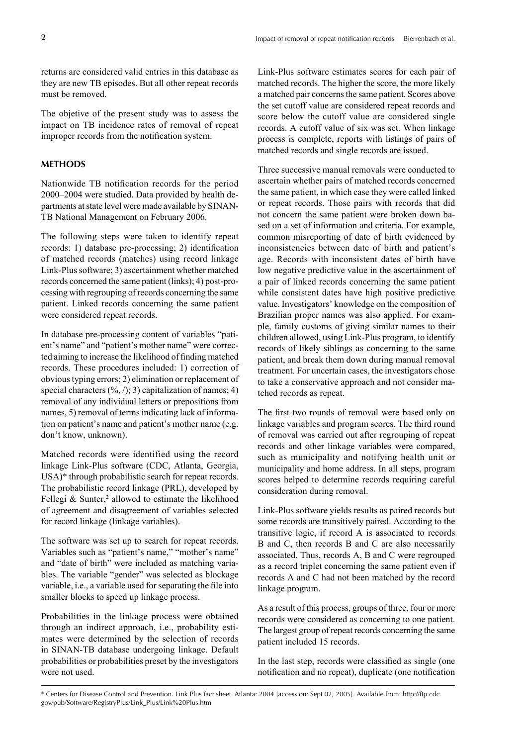returns are considered valid entries in this database as they are new TB episodes. But all other repeat records must be removed.

The objetive of the present study was to assess the impact on TB incidence rates of removal of repeat improper records from the notification system.

#### **METHODS**

Nationwide TB notification records for the period 2000–2004 were studied. Data provided by health departments at state level were made available by SINAN-TB National Management on February 2006.

The following steps were taken to identify repeat records: 1) database pre-processing; 2) identification of matched records (matches) using record linkage Link-Plus software; 3) ascertainment whether matched records concerned the same patient (links); 4) post-processing with regrouping of records concerning the same patient. Linked records concerning the same patient were considered repeat records.

In database pre-processing content of variables "patient's name" and "patient's mother name" were corrected aiming to increase the likelihood of finding matched records. These procedures included: 1) correction of obvious typing errors; 2) elimination or replacement of special characters  $(\frac{6}{6}, \frac{1}{3})$  capitalization of names; 4) removal of any individual letters or prepositions from names, 5) removal of terms indicating lack of information on patient's name and patient's mother name (e.g. don't know, unknown).

Matched records were identified using the record linkage Link-Plus software (CDC, Atlanta, Georgia, USA)\* through probabilistic search for repeat records. The probabilistic record linkage (PRL), developed by Fellegi  $&$  Sunter,<sup>2</sup> allowed to estimate the likelihood of agreement and disagreement of variables selected for record linkage (linkage variables).

The software was set up to search for repeat records. Variables such as "patient's name," "mother's name" and "date of birth" were included as matching variables. The variable "gender" was selected as blockage variable, i.e., a variable used for separating the file into smaller blocks to speed up linkage process.

Probabilities in the linkage process were obtained through an indirect approach, i.e., probability estimates were determined by the selection of records in SINAN-TB database undergoing linkage. Default probabilities or probabilities preset by the investigators were not used.

Link-Plus software estimates scores for each pair of matched records. The higher the score, the more likely a matched pair concerns the same patient. Scores above the set cutoff value are considered repeat records and score below the cutoff value are considered single records. A cutoff value of six was set. When linkage process is complete, reports with listings of pairs of matched records and single records are issued.

Three successive manual removals were conducted to ascertain whether pairs of matched records concerned the same patient, in which case they were called linked or repeat records. Those pairs with records that did not concern the same patient were broken down based on a set of information and criteria. For example, common misreporting of date of birth evidenced by inconsistencies between date of birth and patient's age. Records with inconsistent dates of birth have low negative predictive value in the ascertainment of a pair of linked records concerning the same patient while consistent dates have high positive predictive value. Investigators' knowledge on the composition of Brazilian proper names was also applied. For example, family customs of giving similar names to their children allowed, using Link-Plus program, to identify records of likely siblings as concerning to the same patient, and break them down during manual removal treatment. For uncertain cases, the investigators chose to take a conservative approach and not consider matched records as repeat.

The first two rounds of removal were based only on linkage variables and program scores. The third round of removal was carried out after regrouping of repeat records and other linkage variables were compared, such as municipality and notifying health unit or municipality and home address. In all steps, program scores helped to determine records requiring careful consideration during removal.

Link-Plus software yields results as paired records but some records are transitively paired. According to the transitive logic, if record A is associated to records B and C, then records B and C are also necessarily associated. Thus, records A, B and C were regrouped as a record triplet concerning the same patient even if records A and C had not been matched by the record linkage program.

As a result of this process, groups of three, four or more records were considered as concerning to one patient. The largest group of repeat records concerning the same patient included 15 records.

In the last step, records were classified as single (one notification and no repeat), duplicate (one notification

<sup>\*</sup> Centers for Disease Control and Prevention. Link Plus fact sheet. Atlanta: 2004 [access on: Sept 02, 2005]. Available from: http://ftp.cdc. gov/pub/Software/RegistryPlus/Link\_Plus/Link%20Plus.htm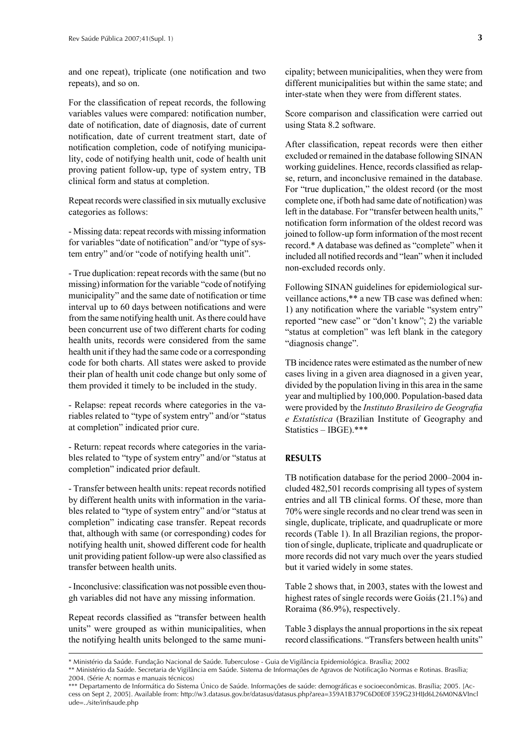and one repeat), triplicate (one notification and two repeats), and so on.

For the classification of repeat records, the following variables values were compared: notification number, date of notification, date of diagnosis, date of current notification, date of current treatment start, date of notification completion, code of notifying municipality, code of notifying health unit, code of health unit proving patient follow-up, type of system entry, TB clinical form and status at completion.

Repeat records were classified in six mutually exclusive categories as follows:

- Missing data: repeat records with missing information for variables "date of notification" and/or "type of system entry" and/or "code of notifying health unit".

- True duplication: repeat records with the same (but no missing) information for the variable "code of notifying municipality" and the same date of notification or time interval up to 60 days between notifications and were from the same notifying health unit. As there could have been concurrent use of two different charts for coding health units, records were considered from the same health unit if they had the same code or a corresponding code for both charts. All states were asked to provide their plan of health unit code change but only some of them provided it timely to be included in the study.

- Relapse: repeat records where categories in the variables related to "type of system entry" and/or "status at completion" indicated prior cure.

- Return: repeat records where categories in the variables related to "type of system entry" and/or "status at completion" indicated prior default.

- Transfer between health units: repeat records notified by different health units with information in the variables related to "type of system entry" and/or "status at completion" indicating case transfer. Repeat records that, although with same (or corresponding) codes for notifying health unit, showed different code for health unit providing patient follow-up were also classified as transfer between health units.

- Inconclusive: classification was not possible even though variables did not have any missing information.

Repeat records classified as "transfer between health units" were grouped as within municipalities, when the notifying health units belonged to the same municipality; between municipalities, when they were from different municipalities but within the same state; and inter-state when they were from different states.

Score comparison and classification were carried out using Stata 8.2 software.

After classification, repeat records were then either excluded or remained in the database following SINAN working guidelines. Hence, records classified as relapse, return, and inconclusive remained in the database. For "true duplication," the oldest record (or the most complete one, if both had same date of notification) was left in the database. For "transfer between health units," notification form information of the oldest record was joined to follow-up form information of the most recent record.\* A database was defined as "complete" when it included all notified records and "lean" when it included non-excluded records only.

Following SINAN guidelines for epidemiological surveillance actions,\*\* a new TB case was defined when: 1) any notification where the variable "system entry" reported "new case" or "don't know"; 2) the variable "status at completion" was left blank in the category "diagnosis change".

TB incidence rates were estimated as the number of new cases living in a given area diagnosed in a given year, divided by the population living in this area in the same year and multiplied by 100,000. Population-based data were provided by the *Instituto Brasileiro de Geografia e Estatística* (Brazilian Institute of Geography and Statistics – IBGE).\*\*\*

#### **RESULTS**

TB notification database for the period 2000–2004 included 482,501 records comprising all types of system entries and all TB clinical forms. Of these, more than 70% were single records and no clear trend was seen in single, duplicate, triplicate, and quadruplicate or more records (Table 1). In all Brazilian regions, the proportion of single, duplicate, triplicate and quadruplicate or more records did not vary much over the years studied but it varied widely in some states.

Table 2 shows that, in 2003, states with the lowest and highest rates of single records were Goiás (21.1%) and Roraima (86.9%), respectively.

Table 3 displays the annual proportions in the six repeat record classifications. "Transfers between health units"

\* Ministério da Saúde. Fundação Nacional de Saúde. Tuberculose - Guia de Vigilância Epidemiológica. Brasília; 2002

\*\* Ministério da Saúde. Secretaria de Vigilância em Saúde. Sistema de Informações de Agravos de Notifi cação Normas e Rotinas. Brasília; 2004. (Série A: normas e manuais técnicos)

<sup>\*\*\*</sup> Departamento de Informática do Sistema Único de Saúde. Informações de saúde: demográficas e socioeconômicas. Brasília; 2005. [Access on Sept 2, 2005]. Available from: http://w3.datasus.gov.br/datasus/datasus.php?area=359A1B379C6D0E0F359G23HIJd6L26M0N&VIncl ude=../site/infsaude.php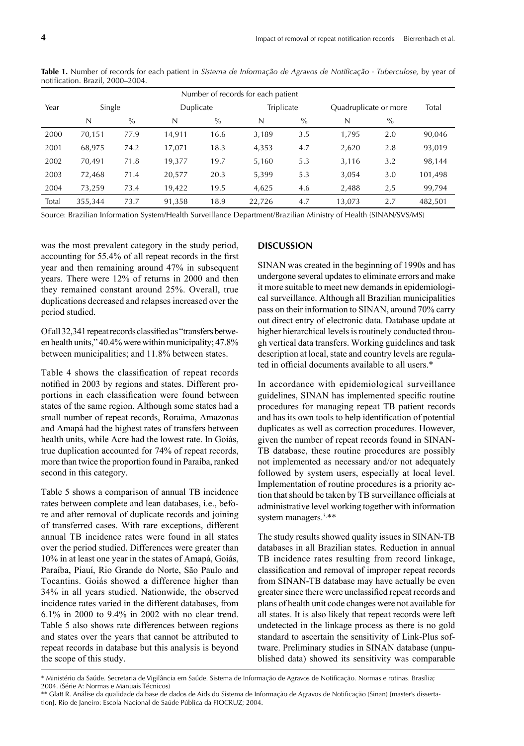| Number of records for each patient |         |        |        |           |            |      |                       |       |         |  |  |  |
|------------------------------------|---------|--------|--------|-----------|------------|------|-----------------------|-------|---------|--|--|--|
| Year                               |         | Single |        | Duplicate | Triplicate |      | Quadruplicate or more | Total |         |  |  |  |
|                                    | N       | $\%$   | N      | $\%$      | N          | $\%$ | N                     | $\%$  |         |  |  |  |
| 2000                               | 70,151  | 77.9   | 14,911 | 16.6      | 3,189      | 3.5  | 1,795                 | 2.0   | 90,046  |  |  |  |
| 2001                               | 68,975  | 74.2   | 17,071 | 18.3      | 4,353      | 4.7  | 2,620                 | 2.8   | 93,019  |  |  |  |
| 2002                               | 70,491  | 71.8   | 19,377 | 19.7      | 5,160      | 5.3  | 3,116                 | 3.2   | 98,144  |  |  |  |
| 2003                               | 72,468  | 71.4   | 20,577 | 20.3      | 5,399      | 5.3  | 3,054                 | 3.0   | 101,498 |  |  |  |
| 2004                               | 73,259  | 73.4   | 19,422 | 19.5      | 4,625      | 4.6  | 2,488                 | 2,5   | 99,794  |  |  |  |
| Total                              | 355,344 | 73.7   | 91,358 | 18.9      | 22.726     | 4.7  | 13.073                | 2.7   | 482,501 |  |  |  |

Table 1. Number of records for each patient in *Sistema de Informação de Agravos de Notificação - Tuberculose*, by year of notification. Brazil, 2000-2004.

Source: Brazilian Information System/Health Surveillance Department/Brazilian Ministry of Health (SINAN/SVS/MS)

was the most prevalent category in the study period, accounting for 55.4% of all repeat records in the first year and then remaining around 47% in subsequent years. There were 12% of returns in 2000 and then they remained constant around 25%. Overall, true duplications decreased and relapses increased over the period studied.

Of all 32,341 repeat records classified as "transfers between health units," 40.4% were within municipality; 47.8% between municipalities; and 11.8% between states.

Table 4 shows the classification of repeat records notified in 2003 by regions and states. Different proportions in each classification were found between states of the same region. Although some states had a small number of repeat records, Roraima, Amazonas and Amapá had the highest rates of transfers between health units, while Acre had the lowest rate. In Goiás, true duplication accounted for 74% of repeat records, more than twice the proportion found in Paraíba, ranked second in this category.

Table 5 shows a comparison of annual TB incidence rates between complete and lean databases, i.e., before and after removal of duplicate records and joining of transferred cases. With rare exceptions, different annual TB incidence rates were found in all states over the period studied. Differences were greater than 10% in at least one year in the states of Amapá, Goiás, Paraíba, Piauí, Rio Grande do Norte, São Paulo and Tocantins. Goiás showed a difference higher than 34% in all years studied. Nationwide, the observed incidence rates varied in the different databases, from 6.1% in 2000 to 9.4% in 2002 with no clear trend. Table 5 also shows rate differences between regions and states over the years that cannot be attributed to repeat records in database but this analysis is beyond the scope of this study.

### **DISCUSSION**

SINAN was created in the beginning of 1990s and has undergone several updates to eliminate errors and make it more suitable to meet new demands in epidemiological surveillance. Although all Brazilian municipalities pass on their information to SINAN, around 70% carry out direct entry of electronic data. Database update at higher hierarchical levels is routinely conducted through vertical data transfers. Working guidelines and task description at local, state and country levels are regulated in official documents available to all users.\*

In accordance with epidemiological surveillance guidelines, SINAN has implemented specific routine procedures for managing repeat TB patient records and has its own tools to help identification of potential duplicates as well as correction procedures. However, given the number of repeat records found in SINAN-TB database, these routine procedures are possibly not implemented as necessary and/or not adequately followed by system users, especially at local level. Implementation of routine procedures is a priority action that should be taken by TB surveillance officials at administrative level working together with information system managers.<sup>3,\*\*</sup>

The study results showed quality issues in SINAN-TB databases in all Brazilian states. Reduction in annual TB incidence rates resulting from record linkage, classification and removal of improper repeat records from SINAN-TB database may have actually be even greater since there were unclassified repeat records and plans of health unit code changes were not available for all states. It is also likely that repeat records were left undetected in the linkage process as there is no gold standard to ascertain the sensitivity of Link-Plus software. Preliminary studies in SINAN database (unpublished data) showed its sensitivity was comparable

<sup>\*</sup> Ministério da Saúde. Secretaria de Vigilância em Saúde. Sistema de Informação de Agravos de Notifi cação. Normas e rotinas. Brasília; 2004. (Série A: Normas e Manuais Técnicos)

<sup>\*\*</sup> Glatt R. Análise da qualidade da base de dados de Aids do Sistema de Informação de Agravos de Notificação (Sinan) [master's dissertation]. Rio de Janeiro: Escola Nacional de Saúde Pública da FIOCRUZ; 2004.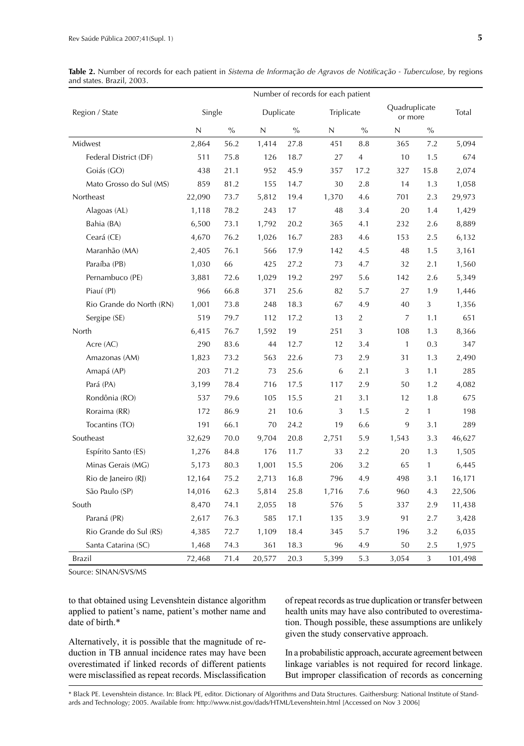Table 2. Number of records for each patient in *Sistema de Informação de Agravos de Notificação - Tuberculose*, by regions and states. Brazil, 2003.

| Number of records for each patient |              |               |             |               |             |                |                          |      |         |  |
|------------------------------------|--------------|---------------|-------------|---------------|-------------|----------------|--------------------------|------|---------|--|
| Region / State                     | Single       |               | Duplicate   |               | Triplicate  |                | Quadruplicate<br>or more |      | Total   |  |
|                                    | $\mathsf{N}$ | $\frac{0}{0}$ | $\mathsf N$ | $\frac{0}{0}$ | $\mathsf N$ | $\frac{0}{0}$  | $\mathsf{N}$             | $\%$ |         |  |
| Midwest                            | 2,864        | 56.2          | 1,414       | 27.8          | 451         | 8.8            | 365                      | 7.2  | 5,094   |  |
| Federal District (DF)              | 511          | 75.8          | 126         | 18.7          | 27          | $\overline{4}$ | 10                       | 1.5  | 674     |  |
| Goiás (GO)                         | 438          | 21.1          | 952         | 45.9          | 357         | 17.2           | 327                      | 15.8 | 2,074   |  |
| Mato Grosso do Sul (MS)            | 859          | 81.2          | 155         | 14.7          | 30          | 2.8            | 14                       | 1.3  | 1,058   |  |
| Northeast                          | 22,090       | 73.7          | 5,812       | 19.4          | 1,370       | 4.6            | 701                      | 2.3  | 29,973  |  |
| Alagoas (AL)                       | 1,118        | 78.2          | 243         | 17            | 48          | 3.4            | 20                       | 1.4  | 1,429   |  |
| Bahia (BA)                         | 6,500        | 73.1          | 1,792       | 20.2          | 365         | 4.1            | 232                      | 2.6  | 8,889   |  |
| Ceará (CE)                         | 4,670        | 76.2          | 1,026       | 16.7          | 283         | 4.6            | 153                      | 2.5  | 6,132   |  |
| Maranhão (MA)                      | 2,405        | 76.1          | 566         | 17.9          | 142         | 4.5            | 48                       | 1.5  | 3,161   |  |
| Paraíba (PB)                       | 1,030        | 66            | 425         | 27.2          | 73          | 4.7            | 32                       | 2.1  | 1,560   |  |
| Pernambuco (PE)                    | 3,881        | 72.6          | 1,029       | 19.2          | 297         | 5.6            | 142                      | 2.6  | 5,349   |  |
| Piauí (PI)                         | 966          | 66.8          | 371         | 25.6          | 82          | 5.7            | 27                       | 1.9  | 1,446   |  |
| Rio Grande do North (RN)           | 1,001        | 73.8          | 248         | 18.3          | 67          | 4.9            | 40                       | 3    | 1,356   |  |
| Sergipe (SE)                       | 519          | 79.7          | 112         | 17.2          | 13          | $\overline{2}$ | $\overline{7}$           | 1.1  | 651     |  |
| North                              | 6,415        | 76.7          | 1,592       | 19            | 251         | 3              | 108                      | 1.3  | 8,366   |  |
| Acre (AC)                          | 290          | 83.6          | 44          | 12.7          | 12          | 3.4            | 1                        | 0.3  | 347     |  |
| Amazonas (AM)                      | 1,823        | 73.2          | 563         | 22.6          | 73          | 2.9            | 31                       | 1.3  | 2,490   |  |
| Amapá (AP)                         | 203          | 71.2          | 73          | 25.6          | 6           | 2.1            | 3                        | 1.1  | 285     |  |
| Pará (PA)                          | 3,199        | 78.4          | 716         | 17.5          | 117         | 2.9            | 50                       | 1.2  | 4,082   |  |
| Rondônia (RO)                      | 537          | 79.6          | 105         | 15.5          | 21          | 3.1            | 12                       | 1.8  | 675     |  |
| Roraima (RR)                       | 172          | 86.9          | 21          | 10.6          | 3           | 1.5            | $\overline{2}$           | 1    | 198     |  |
| Tocantins (TO)                     | 191          | 66.1          | 70          | 24.2          | 19          | 6.6            | 9                        | 3.1  | 289     |  |
| Southeast                          | 32,629       | 70.0          | 9,704       | 20.8          | 2,751       | 5.9            | 1,543                    | 3.3  | 46,627  |  |
| Espírito Santo (ES)                | 1,276        | 84.8          | 176         | 11.7          | 33          | 2.2            | 20                       | 1.3  | 1,505   |  |
| Minas Gerais (MG)                  | 5,173        | 80.3          | 1,001       | 15.5          | 206         | 3.2            | 65                       | 1    | 6,445   |  |
| Rio de Janeiro (RJ)                | 12,164       | 75.2          | 2,713       | 16.8          | 796         | 4.9            | 498                      | 3.1  | 16,171  |  |
| São Paulo (SP)                     | 14,016       | 62.3          | 5,814       | 25.8          | 1,716       | 7.6            | 960                      | 4.3  | 22,506  |  |
| South                              | 8,470        | 74.1          | 2,055       | 18            | 576         | 5              | 337                      | 2.9  | 11,438  |  |
| Paraná (PR)                        | 2,617        | 76.3          | 585         | 17.1          | 135         | 3.9            | 91                       | 2.7  | 3,428   |  |
| Rio Grande do Sul (RS)             | 4,385        | 72.7          | 1,109       | 18.4          | 345         | 5.7            | 196                      | 3.2  | 6,035   |  |
| Santa Catarina (SC)                | 1,468        | 74.3          | 361         | 18.3          | 96          | 4.9            | 50                       | 2.5  | 1,975   |  |
| Brazil                             | 72,468       | 71.4          | 20,577      | 20.3          | 5,399       | 5.3            | 3,054                    | 3    | 101,498 |  |

Source: SINAN/SVS/MS

to that obtained using Levenshtein distance algorithm applied to patient's name, patient's mother name and date of birth.\*

Alternatively, it is possible that the magnitude of reduction in TB annual incidence rates may have been overestimated if linked records of different patients were misclassified as repeat records. Misclassification of repeat records as true duplication or transfer between health units may have also contributed to overestimation. Though possible, these assumptions are unlikely given the study conservative approach.

In a probabilistic approach, accurate agreement between linkage variables is not required for record linkage. But improper classification of records as concerning

\* Black PE. Levenshtein distance. In: Black PE, editor. Dictionary of Algorithms and Data Structures. Gaithersburg: National Institute of Standards and Technology; 2005. Available from: http://www.nist.gov/dads/HTML/Levenshtein.html [Accessed on Nov 3 2006]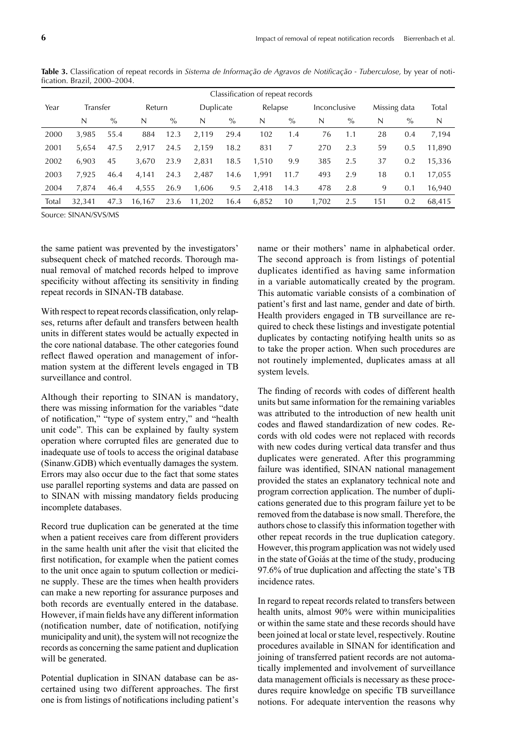| Classification of repeat records |          |      |        |      |           |      |         |      |              |      |              |      |        |
|----------------------------------|----------|------|--------|------|-----------|------|---------|------|--------------|------|--------------|------|--------|
| Year                             | Transfer |      | Return |      | Duplicate |      | Relapse |      | Inconclusive |      | Missing data |      | Total  |
|                                  | N        | $\%$ | N      | $\%$ | N         | $\%$ | N       | $\%$ | N            | $\%$ | N            | $\%$ | N      |
| 2000                             | 3.985    | 55.4 | 884    | 12.3 | 2,119     | 29.4 | 102     | 1.4  | 76           | 1.1  | 28           | 0.4  | 7,194  |
| 2001                             | 5.654    | 47.5 | 2.917  | 24.5 | 2,159     | 18.2 | 831     | 7    | 270          | 2.3  | 59           | 0.5  | 11,890 |
| 2002                             | 6.903    | 45   | 3,670  | 23.9 | 2,831     | 18.5 | 1.510   | 9.9  | 385          | 2.5  | 37           | 0.2  | 15,336 |
| 2003                             | 7.925    | 46.4 | 4,141  | 24.3 | 2,487     | 14.6 | 1.991   | 11.7 | 493          | 2.9  | 18           | 0.1  | 17.055 |
| 2004                             | 7.874    | 46.4 | 4,555  | 26.9 | 1.606     | 9.5  | 2.418   | 14.3 | 478          | 2.8  | 9            | 0.1  | 16,940 |
| Total                            | 32.341   | 47.3 | 16.167 | 23.6 | 11,202    | 16.4 | 6,852   | 10   | 1,702        | 2.5  | 151          | 0.2  | 68.415 |

Table 3. Classification of repeat records in *Sistema de Informação de Agravos de Notificação - Tuberculose*, by year of notification. Brazil, 2000-2004.

Source: SINAN/SVS/MS

the same patient was prevented by the investigators' subsequent check of matched records. Thorough manual removal of matched records helped to improve specificity without affecting its sensitivity in finding repeat records in SINAN-TB database.

With respect to repeat records classification, only relapses, returns after default and transfers between health units in different states would be actually expected in the core national database. The other categories found reflect flawed operation and management of information system at the different levels engaged in TB surveillance and control.

Although their reporting to SINAN is mandatory, there was missing information for the variables "date of notification," "type of system entry," and "health unit code". This can be explained by faulty system operation where corrupted files are generated due to inadequate use of tools to access the original database (Sinanw.GDB) which eventually damages the system. Errors may also occur due to the fact that some states use parallel reporting systems and data are passed on to SINAN with missing mandatory fields producing incomplete databases.

Record true duplication can be generated at the time when a patient receives care from different providers in the same health unit after the visit that elicited the first notification, for example when the patient comes to the unit once again to sputum collection or medicine supply. These are the times when health providers can make a new reporting for assurance purposes and both records are eventually entered in the database. However, if main fields have any different information (notification number, date of notification, notifying municipality and unit), the system will not recognize the records as concerning the same patient and duplication will be generated.

Potential duplication in SINAN database can be ascertained using two different approaches. The first one is from listings of notifications including patient's

name or their mothers' name in alphabetical order. The second approach is from listings of potential duplicates identified as having same information in a variable automatically created by the program. This automatic variable consists of a combination of patient's first and last name, gender and date of birth. Health providers engaged in TB surveillance are required to check these listings and investigate potential duplicates by contacting notifying health units so as to take the proper action. When such procedures are not routinely implemented, duplicates amass at all system levels.

The finding of records with codes of different health units but same information for the remaining variables was attributed to the introduction of new health unit codes and flawed standardization of new codes. Records with old codes were not replaced with records with new codes during vertical data transfer and thus duplicates were generated. After this programming failure was identified, SINAN national management provided the states an explanatory technical note and program correction application. The number of duplications generated due to this program failure yet to be removed from the database is now small. Therefore, the authors chose to classify this information together with other repeat records in the true duplication category. However, this program application was not widely used in the state of Goiás at the time of the study, producing 97.6% of true duplication and affecting the state's TB incidence rates.

In regard to repeat records related to transfers between health units, almost 90% were within municipalities or within the same state and these records should have been joined at local or state level, respectively. Routine procedures available in SINAN for identification and joining of transferred patient records are not automatically implemented and involvement of surveillance data management officials is necessary as these procedures require knowledge on specific TB surveillance notions. For adequate intervention the reasons why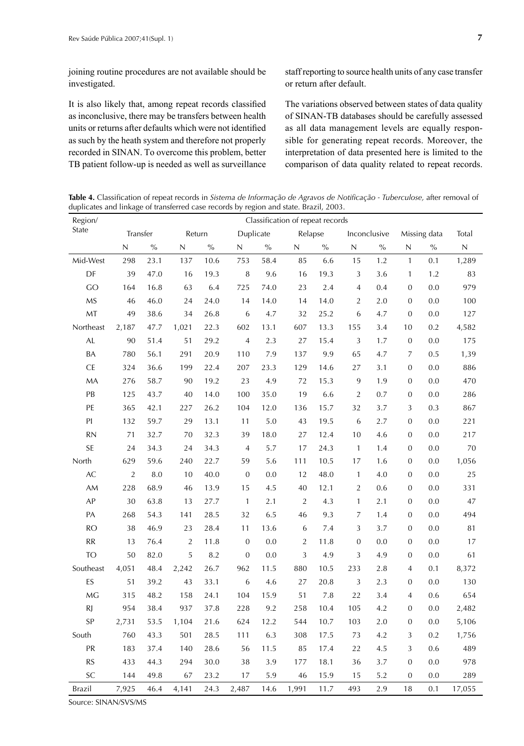joining routine procedures are not available should be investigated.

It is also likely that, among repeat records classified as inconclusive, there may be transfers between health units or returns after defaults which were not identified as such by the heath system and therefore not properly recorded in SINAN. To overcome this problem, better TB patient follow-up is needed as well as surveillance

staff reporting to source health units of any case transfer or return after default.

The variations observed between states of data quality of SINAN-TB databases should be carefully assessed as all data management levels are equally responsible for generating repeat records. Moreover, the interpretation of data presented here is limited to the comparison of data quality related to repeat records.

Table 4. Classification of repeat records in *Sistema de Informação de Agravos de Notificação - Tuberculose*, after removal of duplicates and linkage of transferred case records by region and state. Brazil, 2003.

| Region/   | Classification of repeat records |      |                |      |                  |               |                |               |                  |              |                  |                                                                                                                                                                                                                                                          |             |
|-----------|----------------------------------|------|----------------|------|------------------|---------------|----------------|---------------|------------------|--------------|------------------|----------------------------------------------------------------------------------------------------------------------------------------------------------------------------------------------------------------------------------------------------------|-------------|
| State     | Transfer                         |      | Return         |      | Duplicate        |               | Relapse        |               |                  | Inconclusive |                  | Missing data<br>$\sqrt[0]{\!0}$<br>0.1<br>1.2<br>0.0<br>0.0<br>0.0<br>0.2<br>0.0<br>0.5<br>0.0<br>0.0<br>0.0<br>0.3<br>0.0<br>0.0<br>0.0<br>0.0<br>0.0<br>0.0<br>0.0<br>0.0<br>0.0<br>0.0<br>0.0<br>0.1<br>0.0<br>0.6<br>0.0<br>0.0<br>0.2<br>0.6<br>0.0 | Total       |
|           | N                                | $\%$ | N              | $\%$ | N                | $\frac{0}{0}$ | N              | $\frac{0}{0}$ | N                | $\%$         | N                |                                                                                                                                                                                                                                                          | $\mathsf N$ |
| Mid-West  | 298                              | 23.1 | 137            | 10.6 | 753              | 58.4          | 85             | 6.6           | 15               | 1.2          | $\mathbf{1}$     |                                                                                                                                                                                                                                                          | 1,289       |
| DF        | 39                               | 47.0 | 16             | 19.3 | $\,$ 8 $\,$      | 9.6           | 16             | 19.3          | $\sqrt{3}$       | 3.6          | $\mathbf{1}$     |                                                                                                                                                                                                                                                          | 83          |
| GO        | 164                              | 16.8 | 63             | 6.4  | 725              | 74.0          | 23             | 2.4           | $\overline{4}$   | 0.4          | $\boldsymbol{0}$ |                                                                                                                                                                                                                                                          | 979         |
| <b>MS</b> | 46                               | 46.0 | 24             | 24.0 | 14               | 14.0          | 14             | 14.0          | $\overline{2}$   | 2.0          | $\boldsymbol{0}$ |                                                                                                                                                                                                                                                          | 100         |
| MT        | 49                               | 38.6 | 34             | 26.8 | 6                | 4.7           | 32             | 25.2          | 6                | 4.7          | $\mathbf{0}$     |                                                                                                                                                                                                                                                          | 127         |
| Northeast | 2,187                            | 47.7 | 1,021          | 22.3 | 602              | 13.1          | 607            | 13.3          | 155              | 3.4          | 10               |                                                                                                                                                                                                                                                          | 4,582       |
| AL        | 90                               | 51.4 | 51             | 29.2 | $\sqrt{4}$       | 2.3           | 27             | 15.4          | 3                | 1.7          | $\boldsymbol{0}$ |                                                                                                                                                                                                                                                          | 175         |
| BA        | 780                              | 56.1 | 291            | 20.9 | 110              | 7.9           | 137            | 9.9           | 65               | 4.7          | 7                |                                                                                                                                                                                                                                                          | 1,39        |
| <b>CE</b> | 324                              | 36.6 | 199            | 22.4 | 207              | 23.3          | 129            | 14.6          | 27               | 3.1          | $\boldsymbol{0}$ |                                                                                                                                                                                                                                                          | 886         |
| MA        | 276                              | 58.7 | 90             | 19.2 | 23               | 4.9           | 72             | 15.3          | 9                | 1.9          | $\boldsymbol{0}$ |                                                                                                                                                                                                                                                          | 470         |
| PB        | 125                              | 43.7 | 40             | 14.0 | 100              | 35.0          | 19             | 6.6           | $\overline{2}$   | 0.7          | $\mathbf{0}$     |                                                                                                                                                                                                                                                          | 286         |
| PE        | 365                              | 42.1 | 227            | 26.2 | 104              | 12.0          | 136            | 15.7          | 32               | 3.7          | 3                |                                                                                                                                                                                                                                                          | 867         |
| PI        | 132                              | 59.7 | 29             | 13.1 | 11               | 5.0           | 43             | 19.5          | 6                | 2.7          | $\boldsymbol{0}$ |                                                                                                                                                                                                                                                          | 221         |
| <b>RN</b> | 71                               | 32.7 | 70             | 32.3 | 39               | 18.0          | 27             | 12.4          | 10               | 4.6          | $\mathbf 0$      |                                                                                                                                                                                                                                                          | 217         |
| <b>SE</b> | 24                               | 34.3 | 24             | 34.3 | $\overline{4}$   | 5.7           | 17             | 24.3          | $\mathbf{1}$     | 1.4          | $\boldsymbol{0}$ |                                                                                                                                                                                                                                                          | 70          |
| North     | 629                              | 59.6 | 240            | 22.7 | 59               | 5.6           | 111            | 10.5          | 17               | 1.6          | $\boldsymbol{0}$ |                                                                                                                                                                                                                                                          | 1,056       |
| AC        | $\overline{2}$                   | 8.0  | 10             | 40.0 | $\mathbf 0$      | 0.0           | 12             | 48.0          | $\mathbf{1}$     | 4.0          | $\boldsymbol{0}$ |                                                                                                                                                                                                                                                          | 25          |
| AM        | 228                              | 68.9 | 46             | 13.9 | 15               | 4.5           | 40             | 12.1          | $\overline{2}$   | 0.6          | $\boldsymbol{0}$ |                                                                                                                                                                                                                                                          | 331         |
| AP        | 30                               | 63.8 | 13             | 27.7 | $\mathbf{1}$     | 2.1           | $\sqrt{2}$     | 4.3           | $\mathbf{1}$     | 2.1          | $\mathbf 0$      |                                                                                                                                                                                                                                                          | 47          |
| PA        | 268                              | 54.3 | 141            | 28.5 | 32               | 6.5           | 46             | 9.3           | 7                | 1.4          | $\boldsymbol{0}$ |                                                                                                                                                                                                                                                          | 494         |
| <b>RO</b> | 38                               | 46.9 | 23             | 28.4 | 11               | 13.6          | 6              | 7.4           | 3                | 3.7          | $\boldsymbol{0}$ |                                                                                                                                                                                                                                                          | 81          |
| <b>RR</b> | 13                               | 76.4 | $\overline{2}$ | 11.8 | $\boldsymbol{0}$ | 0.0           | $\overline{2}$ | 11.8          | $\boldsymbol{0}$ | 0.0          | $\boldsymbol{0}$ |                                                                                                                                                                                                                                                          | 17          |
| <b>TO</b> | 50                               | 82.0 | 5              | 8.2  | $\mathbf 0$      | 0.0           | 3              | 4.9           | 3                | 4.9          | $\boldsymbol{0}$ |                                                                                                                                                                                                                                                          | 61          |
| Southeast | 4,051                            | 48.4 | 2,242          | 26.7 | 962              | 11.5          | 880            | 10.5          | 233              | 2.8          | $\sqrt{4}$       |                                                                                                                                                                                                                                                          | 8,372       |
| ES        | 51                               | 39.2 | 43             | 33.1 | 6                | 4.6           | 27             | 20.8          | 3                | 2.3          | $\boldsymbol{0}$ |                                                                                                                                                                                                                                                          | 130         |
| MG        | 315                              | 48.2 | 158            | 24.1 | 104              | 15.9          | 51             | 7.8           | 22               | 3.4          | $\sqrt{4}$       |                                                                                                                                                                                                                                                          | 654         |
| <b>RJ</b> | 954                              | 38.4 | 937            | 37.8 | 228              | 9.2           | 258            | 10.4          | 105              | 4.2          | $\mathbf 0$      |                                                                                                                                                                                                                                                          | 2,482       |
| SP        | 2,731                            | 53.5 | 1,104          | 21.6 | 624              | 12.2          | 544            | 10.7          | 103              | 2.0          | $\boldsymbol{0}$ |                                                                                                                                                                                                                                                          | 5,106       |
| South     | 760                              | 43.3 | 501            | 28.5 | 111              | 6.3           | 308            | 17.5          | 73               | 4.2          | 3                |                                                                                                                                                                                                                                                          | 1,756       |
| PR        | 183                              | 37.4 | 140            | 28.6 | 56               | 11.5          | 85             | 17.4          | 22               | 4.5          | 3                |                                                                                                                                                                                                                                                          | 489         |
| <b>RS</b> | 433                              | 44.3 | 294            | 30.0 | 38               | 3.9           | 177            | 18.1          | 36               | 3.7          | $\boldsymbol{0}$ |                                                                                                                                                                                                                                                          | 978         |
| SC        | 144                              | 49.8 | 67             | 23.2 | 17               | 5.9           | 46             | 15.9          | 15               | 5.2          | $\boldsymbol{0}$ | 0.0                                                                                                                                                                                                                                                      | 289         |
| Brazil    | 7,925                            | 46.4 | 4,141          | 24.3 | 2,487            | 14.6          | 1,991          | 11.7          | 493              | 2.9          | 18               | 0.1                                                                                                                                                                                                                                                      | 17,055      |

Source: SINAN/SVS/MS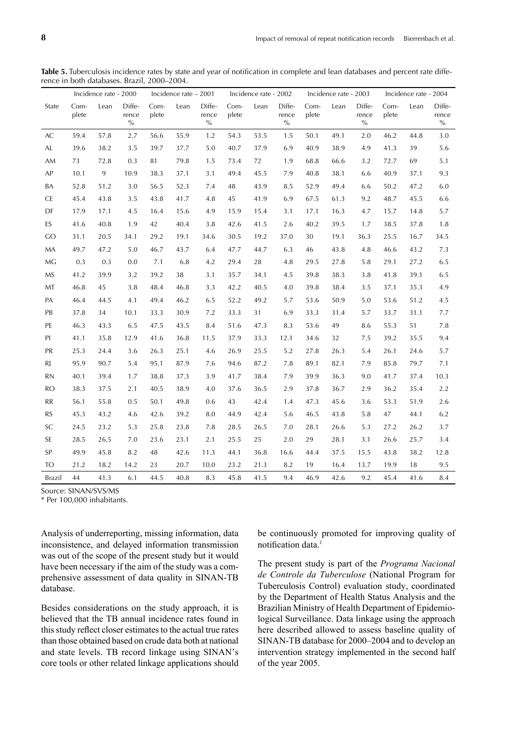Table 5. Tuberculosis incidence rates by state and year of notification in complete and lean databases and percent rate difference in both databases. Brazil, 2000–2004.

|                                   | Incidence rate - 2000 |      | Incidence rate - 2001   |               |      | Incidence rate - 2002   |               |      |                         | Incidence rate - 2003 |      | Incidence rate - 2004   |               |      |                         |
|-----------------------------------|-----------------------|------|-------------------------|---------------|------|-------------------------|---------------|------|-------------------------|-----------------------|------|-------------------------|---------------|------|-------------------------|
| State                             | Com-<br>plete         | Lean | Diffe-<br>rence<br>$\%$ | Com-<br>plete | Lean | Diffe-<br>rence<br>$\%$ | Com-<br>plete | Lean | Diffe-<br>rence<br>$\%$ | Com-<br>plete         | Lean | Diffe-<br>rence<br>$\%$ | Com-<br>plete | Lean | Diffe-<br>rence<br>$\%$ |
| AC                                | 59.4                  | 57.8 | 2.7                     | 56.6          | 55.9 | 1.2                     | 54.3          | 53.5 | 1.5                     | 50.1                  | 49.1 | 2.0                     | 46.2          | 44.8 | 3.0                     |
| AL.                               | 39.6                  | 38.2 | 3.5                     | 39.7          | 37.7 | 5.0                     | 40.7          | 37.9 | 6.9                     | 40.9                  | 38.9 | 4.9                     | 41.3          | 39   | 5.6                     |
| AM                                | 73                    | 72.8 | 0.3                     | 81            | 79.8 | 1.5                     | 73.4          | 72   | 1.9                     | 68.8                  | 66.6 | 3.2                     | 72.7          | 69   | 5.1                     |
| AP                                | 10.1                  | 9    | 10.9                    | 38.3          | 37.1 | 3.1                     | 49.4          | 45.5 | 7.9                     | 40.8                  | 38.1 | 6.6                     | 40.9          | 37.1 | 9.3                     |
| BA                                | 52.8                  | 51.2 | 3.0                     | 56.5          | 52.3 | 7.4                     | 48            | 43.9 | 8.5                     | 52.9                  | 49.4 | 6.6                     | 50.2          | 47.2 | 6.0                     |
| <b>CE</b>                         | 45.4                  | 43.8 | 3.5                     | 43.8          | 41.7 | 4.8                     | 45            | 41.9 | 6.9                     | 67.5                  | 61.3 | 9.2                     | 48.7          | 45.5 | 6.6                     |
| DF                                | 17.9                  | 17.1 | 4.5                     | 16.4          | 15.6 | 4.9                     | 15.9          | 15.4 | 3.1                     | 17.1                  | 16.3 | 4.7                     | 15.7          | 14.8 | 5.7                     |
| ES                                | 41.6                  | 40.8 | 1.9                     | 42            | 40.4 | 3.8                     | 42.6          | 41.5 | 2.6                     | 40.2                  | 39.5 | 1.7                     | 38.5          | 37.8 | 1.8                     |
| GO                                | 31.1                  | 20.5 | 34.1                    | 29.2          | 19.1 | 34.6                    | 30.5          | 19.2 | 37.0                    | 30                    | 19.1 | 36.3                    | 25.5          | 16.7 | 34.5                    |
| MA                                | 49.7                  | 47.2 | 5.0                     | 46.7          | 43.7 | 6.4                     | 47.7          | 44.7 | 6.3                     | 46                    | 43.8 | 4.8                     | 46.6          | 43.2 | 7.3                     |
| MG                                | 0.3                   | 0.3  | 0.0                     | 7.1           | 6.8  | 4.2                     | 29.4          | 28   | 4.8                     | 29.5                  | 27.8 | 5.8                     | 29.1          | 27.2 | 6.5                     |
| <b>MS</b>                         | 41.2                  | 39.9 | 3.2                     | 39.2          | 38   | 3.1                     | 35.7          | 34.1 | 4.5                     | 39.8                  | 38.3 | 3.8                     | 41.8          | 39.1 | 6.5                     |
| MT                                | 46.8                  | 45   | 3.8                     | 48.4          | 46.8 | 3.3                     | 42.2          | 40.5 | 4.0                     | 39.8                  | 38.4 | 3.5                     | 37.1          | 35.3 | 4.9                     |
| PA                                | 46.4                  | 44.5 | 4.1                     | 49.4          | 46.2 | 6.5                     | 52.2          | 49.2 | 5.7                     | 53.6                  | 50.9 | 5.0                     | 53.6          | 51.2 | 4.5                     |
| PB                                | 37.8                  | 34   | 10.1                    | 33.3          | 30.9 | 7.2                     | 33.3          | 31   | 6.9                     | 33.3                  | 31.4 | 5.7                     | 33.7          | 31.1 | 7.7                     |
| PE                                | 46.3                  | 43.3 | 6.5                     | 47.5          | 43.5 | 8.4                     | 51.6          | 47.3 | 8.3                     | 53.6                  | 49   | 8.6                     | 55.3          | 51   | 7.8                     |
| PI                                | 41.1                  | 35.8 | 12.9                    | 41.6          | 36.8 | 11.5                    | 37.9          | 33.3 | 12.1                    | 34.6                  | 32   | 7.5                     | 39.2          | 35.5 | 9.4                     |
| PR                                | 25.3                  | 24.4 | 3.6                     | 26.3          | 25.1 | 4.6                     | 26.9          | 25.5 | 5.2                     | 27.8                  | 26.3 | 5.4                     | 26.1          | 24.6 | 5.7                     |
| RJ                                | 95.9                  | 90.7 | 5.4                     | 95.1          | 87.9 | 7.6                     | 94.6          | 87.2 | 7.8                     | 89.1                  | 82.1 | 7.9                     | 85.8          | 79.7 | 7.1                     |
| <b>RN</b>                         | 40.1                  | 39.4 | 1.7                     | 38.8          | 37.3 | 3.9                     | 41.7          | 38.4 | 7.9                     | 39.9                  | 36.3 | 9.0                     | 41.7          | 37.4 | 10.3                    |
| <b>RO</b>                         | 38.3                  | 37.5 | 2.1                     | 40.5          | 38.9 | 4.0                     | 37.6          | 36.5 | 2.9                     | 37.8                  | 36.7 | 2.9                     | 36.2          | 35.4 | 2.2                     |
| $\ensuremath{\mathsf{RR}}\xspace$ | 56.1                  | 55.8 | 0.5                     | 50.1          | 49.8 | 0.6                     | 43            | 42.4 | 1.4                     | 47.3                  | 45.6 | 3.6                     | 53.3          | 51.9 | 2.6                     |
| <b>RS</b>                         | 45.3                  | 43.2 | 4.6                     | 42.6          | 39.2 | 8.0                     | 44.9          | 42.4 | 5.6                     | 46.5                  | 43.8 | 5.8                     | 47            | 44.1 | 6.2                     |
| SC                                | 24.5                  | 23.2 | 5.3                     | 25.8          | 23.8 | 7.8                     | 28.5          | 26.5 | $7.0\,$                 | 28.1                  | 26.6 | 5.3                     | 27.2          | 26.2 | 3.7                     |
| <b>SE</b>                         | 28.5                  | 26.5 | 7.0                     | 23.6          | 23.1 | 2.1                     | 25.5          | 25   | 2.0                     | 29                    | 28.1 | 3.1                     | 26.6          | 25.7 | 3.4                     |
| SP                                | 49.9                  | 45.8 | 8.2                     | 48            | 42.6 | 11.3                    | 44.1          | 36.8 | 16.6                    | 44.4                  | 37.5 | 15.5                    | 43.8          | 38.2 | 12.8                    |
| <b>TO</b>                         | 21.2                  | 18.2 | 14.2                    | 23            | 20.7 | 10.0                    | 23.2          | 21.3 | 8.2                     | 19                    | 16.4 | 13.7                    | 19.9          | 18   | 9.5                     |
| Brazil                            | 44                    | 41.3 | 6.1                     | 44.5          | 40.8 | 8.3                     | 45.8          | 41.5 | 9.4                     | 46.9                  | 42.6 | 9.2                     | 45.4          | 41.6 | 8.4                     |

Source: SINAN/SVS/MS

\* Per 100,000 inhabitants.

Analysis of underreporting, missing information, data inconsistence, and delayed information transmission was out of the scope of the present study but it would have been necessary if the aim of the study was a comprehensive assessment of data quality in SINAN-TB database.

Besides considerations on the study approach, it is believed that the TB annual incidence rates found in this study reflect closer estimates to the actual true rates than those obtained based on crude data both at national and state levels. TB record linkage using SINAN's core tools or other related linkage applications should

be continuously promoted for improving quality of notification data.<sup>1</sup>

The present study is part of the *Programa Nacional de Controle da Tuberculose* (National Program for Tuberculosis Control) evaluation study, coordinated by the Department of Health Status Analysis and the Brazilian Ministry of Health Department of Epidemiological Surveillance. Data linkage using the approach here described allowed to assess baseline quality of SINAN-TB database for 2000–2004 and to develop an intervention strategy implemented in the second half of the year 2005.